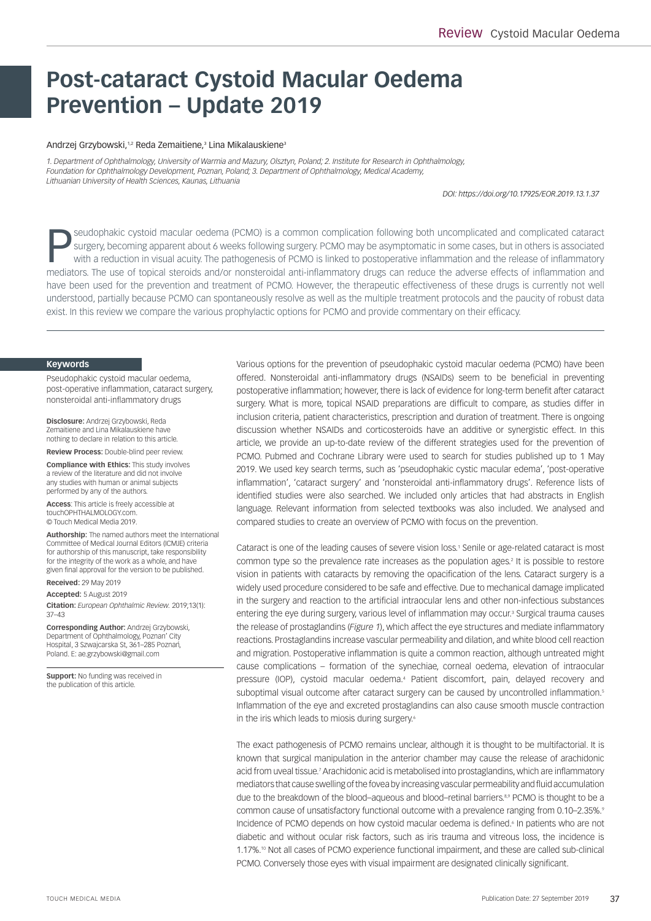# **Post-cataract Cystoid Macular Oedema Prevention – Update 2019**

#### Andrzej Grzybowski,12 Reda Zemaitiene,3 Lina Mikalauskiene3

*1. Department of Ophthalmology, University of Warmia and Mazury, Olsztyn, Poland; 2. Institute for Research in Ophthalmology, Foundation for Ophthalmology Development, Poznan, Poland; 3. Department of Ophthalmology, Medical Academy, Lithuanian University of Health Sciences, Kaunas, Lithuania*

*DOI: https://doi.org/10.17925/EOR.2019.13.1.37* 

Seudophakic cystoid macular oedema (PCMO) is a common complication following both uncomplicated and complicated cataract<br>Surgery, becoming apparent about 6 weeks following surgery. PCMO may be asymptomatic in some cases, b surgery, becoming apparent about 6 weeks following surgery. PCMO may be asymptomatic in some cases, but in others is associated mediators. The use of topical steroids and/or nonsteroidal anti-inflammatory drugs can reduce the adverse effects of inflammation and have been used for the prevention and treatment of PCMO. However, the therapeutic effectiveness of these drugs is currently not well understood, partially because PCMO can spontaneously resolve as well as the multiple treatment protocols and the paucity of robust data exist. In this review we compare the various prophylactic options for PCMO and provide commentary on their efficacy.

#### **Keywords**

Pseudophakic cystoid macular oedema, post-operative inflammation, cataract surgery, nonsteroidal anti-inflammatory drugs

**Disclosure:** Andrzej Grzybowski, Reda Zemaitiene and Lina Mikalauskiene have nothing to declare in relation to this article.

**Review Process:** Double-blind peer review.

**Compliance with Ethics:** This study involves a review of the literature and did not involve any studies with human or animal subjects performed by any of the authors.

**Access**: This article is freely accessible at touchOPHTHALMOLOGY.com. © Touch Medical Media 2019.

**Authorship:** The named authors meet the International Committee of Medical Journal Editors (ICMJE) criteria for authorship of this manuscript, take responsibility for the integrity of the work as a whole, and have given final approval for the version to be published.

**Received:** 29 May 2019

**Accepted:** 5 August 2019

**Citation:** *European Ophthalmic Review.* 2019;13(1): 37–43

**Corresponding Author:** Andrzej Grzybowski, Department of Ophthalmology, Poznan' City Hospital, 3 Szwajcarska St, 361–285 Poznan´, Poland. E: ae.grzybowski@gmail.com

**Support:** No funding was received in the publication of this article.

Various options for the prevention of pseudophakic cystoid macular oedema (PCMO) have been offered. Nonsteroidal anti-inflammatory drugs (NSAIDs) seem to be beneficial in preventing postoperative inflammation; however, there is lack of evidence for long-term benefit after cataract surgery. What is more, topical NSAID preparations are difficult to compare, as studies differ in inclusion criteria, patient characteristics, prescription and duration of treatment. There is ongoing discussion whether NSAIDs and corticosteroids have an additive or synergistic effect. In this article, we provide an up-to-date review of the different strategies used for the prevention of PCMO. Pubmed and Cochrane Library were used to search for studies published up to 1 May 2019. We used key search terms, such as 'pseudophakic cystic macular edema', 'post-operative inflammation', 'cataract surgery' and 'nonsteroidal anti-inflammatory drugs'. Reference lists of identified studies were also searched. We included only articles that had abstracts in English language. Relevant information from selected textbooks was also included. We analysed and compared studies to create an overview of PCMO with focus on the prevention.

Cataract is one of the leading causes of severe vision loss.<sup>1</sup> Senile or age-related cataract is most common type so the prevalence rate increases as the population ages.<sup>2</sup> It is possible to restore vision in patients with cataracts by removing the opacification of the lens. Cataract surgery is a widely used procedure considered to be safe and effective. Due to mechanical damage implicated in the surgery and reaction to the artificial intraocular lens and other non-infectious substances entering the eye during surgery, various level of inflammation may occur.<sup>3</sup> Surgical trauma causes the release of prostaglandins (*Figure 1*), which affect the eye structures and mediate inflammatory reactions. Prostaglandins increase vascular permeability and dilation, and white blood cell reaction and migration. Postoperative inflammation is quite a common reaction, although untreated might cause complications – formation of the synechiae, corneal oedema, elevation of intraocular pressure (IOP), cystoid macular oedema.4 Patient discomfort, pain, delayed recovery and suboptimal visual outcome after cataract surgery can be caused by uncontrolled inflammation.<sup>5</sup> Inflammation of the eye and excreted prostaglandins can also cause smooth muscle contraction in the iris which leads to miosis during surgery.<sup>6</sup>

The exact pathogenesis of PCMO remains unclear, although it is thought to be multifactorial. It is known that surgical manipulation in the anterior chamber may cause the release of arachidonic acid from uveal tissue.<sup>7</sup> Arachidonic acid is metabolised into prostaglandins, which are inflammatory mediators that cause swelling of the fovea by increasing vascular permeability and fluid accumulation due to the breakdown of the blood–aqueous and blood–retinal barriers.8,9 PCMO is thought to be a common cause of unsatisfactory functional outcome with a prevalence ranging from 0.10–2.35%.9 Incidence of PCMO depends on how cystoid macular oedema is defined.<sup>6</sup> In patients who are not diabetic and without ocular risk factors, such as iris trauma and vitreous loss, the incidence is 1.17%.10 Not all cases of PCMO experience functional impairment, and these are called sub-clinical PCMO. Conversely those eyes with visual impairment are designated clinically significant.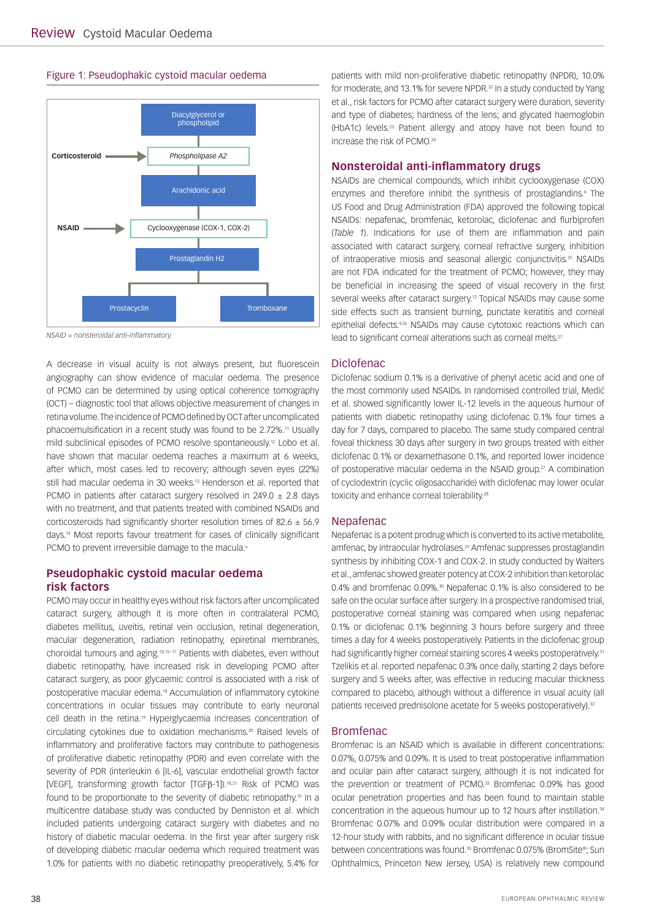#### Figure 1: Pseudophakic cystoid macular oedema



*NSAID = nonsteroidal anti-inflammatory.*

A decrease in visual acuity is not always present, but fluorescein angiography can show evidence of macular oedema. The presence of PCMO can be determined by using optical coherence tomography (OCT) – diagnostic tool that allows objective measurement of changes in retina volume. The incidence of PCMO defined by OCT after uncomplicated phacoemulsification in a recent study was found to be 2.72%.<sup>11</sup> Usually mild subclinical episodes of PCMO resolve spontaneously.12 Lobo et al. have shown that macular oedema reaches a maximum at 6 weeks, after which, most cases led to recovery; although seven eyes (22%) still had macular oedema in 30 weeks.<sup>13</sup> Henderson et al. reported that PCMO in patients after cataract surgery resolved in 249.0  $\pm$  2.8 days with no treatment, and that patients treated with combined NSAIDs and corticosteroids had significantly shorter resolution times of  $82.6 \pm 56.9$ days.14 Most reports favour treatment for cases of clinically significant PCMO to prevent irreversible damage to the macula.<sup>6</sup>

# **Pseudophakic cystoid macular oedema risk factors**

PCMO may occur in healthy eyes without risk factors after uncomplicated cataract surgery, although it is more often in contralateral PCMO, diabetes mellitus, uveitis, retinal vein occlusion, retinal degeneration, macular degeneration, radiation retinopathy, epiretinal membranes, choroidal tumours and aging.10,15–17 Patients with diabetes, even without diabetic retinopathy, have increased risk in developing PCMO after cataract surgery, as poor glycaemic control is associated with a risk of postoperative macular edema.18 Accumulation of inflammatory cytokine concentrations in ocular tissues may contribute to early neuronal cell death in the retina.19 Hyperglycaemia increases concentration of circulating cytokines due to oxidation mechanisms.<sup>20</sup> Raised levels of inflammatory and proliferative factors may contribute to pathogenesis of proliferative diabetic retinopathy (PDR) and even correlate with the severity of PDR (interleukin 6 [IL-6], vascular endothelial growth factor [VEGF], transforming growth factor [TGFß-1]).<sup>18,21</sup> Risk of PCMO was found to be proportionate to the severity of diabetic retinopathy.10 In a multicentre database study was conducted by Denniston et al. which included patients undergoing cataract surgery with diabetes and no history of diabetic macular oedema. In the first year after surgery risk of developing diabetic macular oedema which required treatment was 1.0% for patients with no diabetic retinopathy preoperatively, 5.4% for

patients with mild non-proliferative diabetic retinopathy (NPDR), 10.0% for moderate, and 13.1% for severe NPDR.<sup>22</sup> In a study conducted by Yang et al., risk factors for PCMO after cataract surgery were duration, severity and type of diabetes; hardness of the lens; and glycated haemoglobin (HbA1c) levels.23 Patient allergy and atopy have not been found to increase the risk of PCMO.24

## **Nonsteroidal anti-inflammatory drugs**

NSAIDs are chemical compounds, which inhibit cyclooxygenase (COX) enzymes and therefore inhibit the synthesis of prostaglandins.4 The US Food and Drug Administration (FDA) approved the following topical NSAIDs: nepafenac, bromfenac, ketorolac, diclofenac and flurbiprofen (*Table 1*). Indications for use of them are inflammation and pain associated with cataract surgery, corneal refractive surgery, inhibition of intraoperative miosis and seasonal allergic conjunctivitis.25 NSAIDs are not FDA indicated for the treatment of PCMO; however, they may be beneficial in increasing the speed of visual recovery in the first several weeks after cataract surgery.<sup>12</sup> Topical NSAIDs may cause some side effects such as transient burning, punctate keratitis and corneal epithelial defects.<sup>4,26</sup> NSAIDs may cause cytotoxic reactions which can lead to significant corneal alterations such as corneal melts.<sup>27</sup>

### Diclofenac

Diclofenac sodium 0.1% is a derivative of phenyl acetic acid and one of the most commonly used NSAIDs. In randomised controlled trial, Medić et al. showed significantly lower IL-12 levels in the aqueous humour of patients with diabetic retinopathy using diclofenac 0.1% four times a day for 7 days, compared to placebo. The same study compared central foveal thickness 30 days after surgery in two groups treated with either diclofenac 0.1% or dexamethasone 0.1%, and reported lower incidence of postoperative macular oedema in the NSAID group.<sup>27</sup> A combination of cyclodextrin (cyclic oligosaccharide) with diclofenac may lower ocular toxicity and enhance corneal tolerability.<sup>28</sup>

#### Nepafenac

Nepafenac is a potent prodrug which is converted to its active metabolite, amfenac, by intraocular hydrolases.29 Amfenac suppresses prostaglandin synthesis by inhibiting COX-1 and COX-2. In study conducted by Walters et al., amfenac showed greater potency at COX-2 inhibition than ketorolac 0.4% and bromfenac 0.09%.<sup>30</sup> Nepafenac 0.1% is also considered to be safe on the ocular surface after surgery. In a prospective randomised trial, postoperative corneal staining was compared when using nepafenac 0.1% or diclofenac 0.1% beginning 3 hours before surgery and three times a day for 4 weeks postoperatively. Patients in the diclofenac group had significantly higher corneal staining scores 4 weeks postoperatively.<sup>31</sup> Tzelikis et al. reported nepafenac 0.3% once daily, starting 2 days before surgery and 5 weeks after, was effective in reducing macular thickness compared to placebo, although without a difference in visual acuity (all patients received prednisolone acetate for 5 weeks postoperatively).<sup>32</sup>

#### Bromfenac

Bromfenac is an NSAID which is available in different concentrations: 0.07%, 0.075% and 0.09%. It is used to treat postoperative inflammation and ocular pain after cataract surgery, although it is not indicated for the prevention or treatment of PCMO.<sup>33</sup> Bromfenac 0.09% has good ocular penetration properties and has been found to maintain stable concentration in the aqueous humour up to 12 hours after instillation.34 Bromfenac 0.07% and 0.09% ocular distribution were compared in a 12-hour study with rabbits, and no significant difference in ocular tissue between concentrations was found.<sup>35</sup> Bromfenac 0.075% (BromSite®: Sun Ophthalmics, Princeton New Jersey, USA) is relatively new compound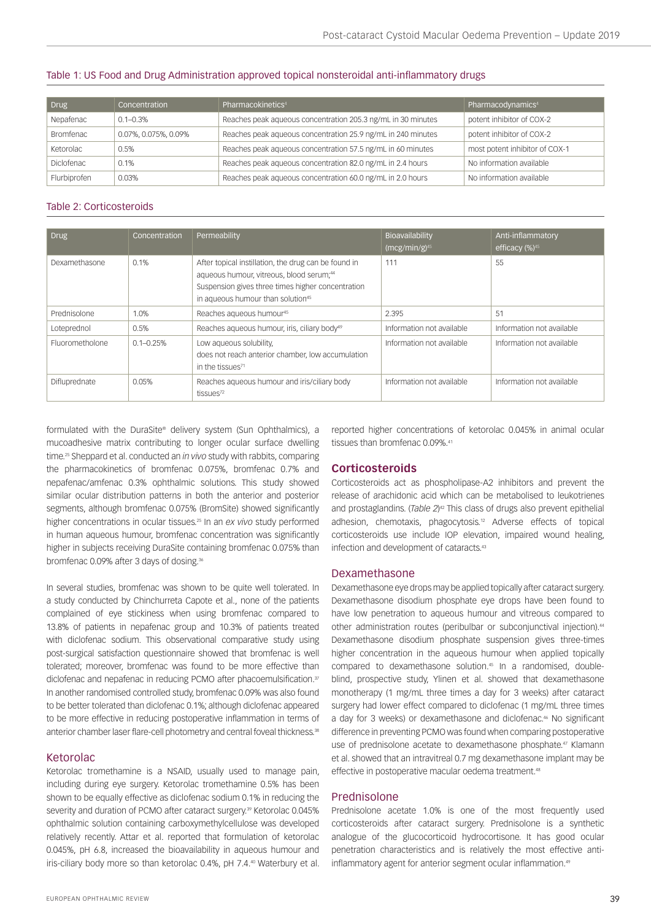### Table 1: US Food and Drug Administration approved topical nonsteroidal anti-inflammatory drugs

| Drug              | Concentration        | Pharmacokinetics <sup>4</sup>                                | Pharmacodynamics <sup>4</sup>  |
|-------------------|----------------------|--------------------------------------------------------------|--------------------------------|
| Nepafenac         | $0.1 - 0.3\%$        | Reaches peak aqueous concentration 205.3 ng/mL in 30 minutes | potent inhibitor of COX-2      |
| Bromfenac         | 0.07%, 0.075%, 0.09% | Reaches peak aqueous concentration 25.9 ng/mL in 240 minutes | potent inhibitor of COX-2      |
| Ketorolac         | 0.5%                 | Reaches peak aqueous concentration 57.5 ng/mL in 60 minutes  | most potent inhibitor of COX-1 |
| <b>Diclofenac</b> | 0.1%                 | Reaches peak aqueous concentration 82.0 ng/mL in 2.4 hours   | No information available       |
| Flurbiprofen      | 0.03%                | Reaches peak aqueous concentration 60.0 ng/mL in 2.0 hours   | No information available       |

#### Table 2: Corticosteroids

| <b>Drug</b>     | Concentration | Permeability                                                                                                                                                                                                       | Bioavailability<br>$(mcg/min/g)^{45}$ | Anti-inflammatory<br>efficacy (%)45 |
|-----------------|---------------|--------------------------------------------------------------------------------------------------------------------------------------------------------------------------------------------------------------------|---------------------------------------|-------------------------------------|
| Dexamethasone   | 0.1%          | After topical instillation, the drug can be found in<br>aqueous humour, vitreous, blood serum; <sup>44</sup><br>Suspension gives three times higher concentration<br>in aqueous humour than solution <sup>45</sup> | 111                                   | 55                                  |
| Prednisolone    | 1.0%          | Reaches aqueous humour <sup>45</sup>                                                                                                                                                                               | 2.395                                 | 51                                  |
| Loteprednol     | 0.5%          | Reaches aqueous humour, iris, ciliary body <sup>49</sup>                                                                                                                                                           | Information not available             | Information not available           |
| Fluorometholone | $0.1 - 0.25%$ | Low aqueous solubility,<br>does not reach anterior chamber, low accumulation<br>in the tissues <sup>71</sup>                                                                                                       | Information not available             | Information not available           |
| Difluprednate   | 0.05%         | Reaches agueous humour and iris/ciliary body<br>tissues <sup>72</sup>                                                                                                                                              | Information not available             | Information not available           |

formulated with the DuraSite® delivery system (Sun Ophthalmics), a mucoadhesive matrix contributing to longer ocular surface dwelling time.25 Sheppard et al. conducted an *in vivo* study with rabbits, comparing the pharmacokinetics of bromfenac 0.075%, bromfenac 0.7% and nepafenac/amfenac 0.3% ophthalmic solutions. This study showed similar ocular distribution patterns in both the anterior and posterior segments, although bromfenac 0.075% (BromSite) showed significantly higher concentrations in ocular tissues.25 In an *ex vivo* study performed in human aqueous humour, bromfenac concentration was significantly higher in subjects receiving DuraSite containing bromfenac 0.075% than bromfenac 0.09% after 3 days of dosing.<sup>36</sup>

In several studies, bromfenac was shown to be quite well tolerated. In a study conducted by Chinchurreta Capote et al., none of the patients complained of eye stickiness when using bromfenac compared to 13.8% of patients in nepafenac group and 10.3% of patients treated with diclofenac sodium. This observational comparative study using post-surgical satisfaction questionnaire showed that bromfenac is well tolerated; moreover, bromfenac was found to be more effective than diclofenac and nepafenac in reducing PCMO after phacoemulsification.<sup>37</sup> In another randomised controlled study, bromfenac 0.09% was also found to be better tolerated than diclofenac 0.1%; although diclofenac appeared to be more effective in reducing postoperative inflammation in terms of anterior chamber laser flare-cell photometry and central foveal thickness.<sup>38</sup>

#### Ketorolac

Ketorolac tromethamine is a NSAID, usually used to manage pain, including during eye surgery. Ketorolac tromethamine 0.5% has been shown to be equally effective as diclofenac sodium 0.1% in reducing the severity and duration of PCMO after cataract surgery.<sup>39</sup> Ketorolac 0.045% ophthalmic solution containing carboxymethylcellulose was developed relatively recently. Attar et al. reported that formulation of ketorolac 0.045%, pH 6.8, increased the bioavailability in aqueous humour and iris-ciliary body more so than ketorolac 0.4%, pH 7.4.40 Waterbury et al.

reported higher concentrations of ketorolac 0.045% in animal ocular tissues than bromfenac 0.09%.<sup>41</sup>

#### **Corticosteroids**

Corticosteroids act as phospholipase-A2 inhibitors and prevent the release of arachidonic acid which can be metabolised to leukotrienes and prostaglandins. (*Table 2*) 42 This class of drugs also prevent epithelial adhesion, chemotaxis, phagocytosis.12 Adverse effects of topical corticosteroids use include IOP elevation, impaired wound healing infection and development of cataracts.<sup>43</sup>

#### Dexamethasone

Dexamethasone eye drops may be applied topically after cataract surgery. Dexamethasone disodium phosphate eye drops have been found to have low penetration to aqueous humour and vitreous compared to other administration routes (peribulbar or subconjunctival injection).44 Dexamethasone disodium phosphate suspension gives three-times higher concentration in the aqueous humour when applied topically compared to dexamethasone solution.45 In a randomised, doubleblind, prospective study, Ylinen et al. showed that dexamethasone monotherapy (1 mg/mL three times a day for 3 weeks) after cataract surgery had lower effect compared to diclofenac (1 mg/mL three times a day for 3 weeks) or dexamethasone and diclofenac.46 No significant difference in preventing PCMO was found when comparing postoperative use of prednisolone acetate to dexamethasone phosphate.<sup>47</sup> Klamann et al. showed that an intravitreal 0.7 mg dexamethasone implant may be effective in postoperative macular oedema treatment.<sup>48</sup>

#### Prednisolone

Prednisolone acetate 1.0% is one of the most frequently used corticosteroids after cataract surgery. Prednisolone is a synthetic analogue of the glucocorticoid hydrocortisone. It has good ocular penetration characteristics and is relatively the most effective antiinflammatory agent for anterior segment ocular inflammation.<sup>49</sup>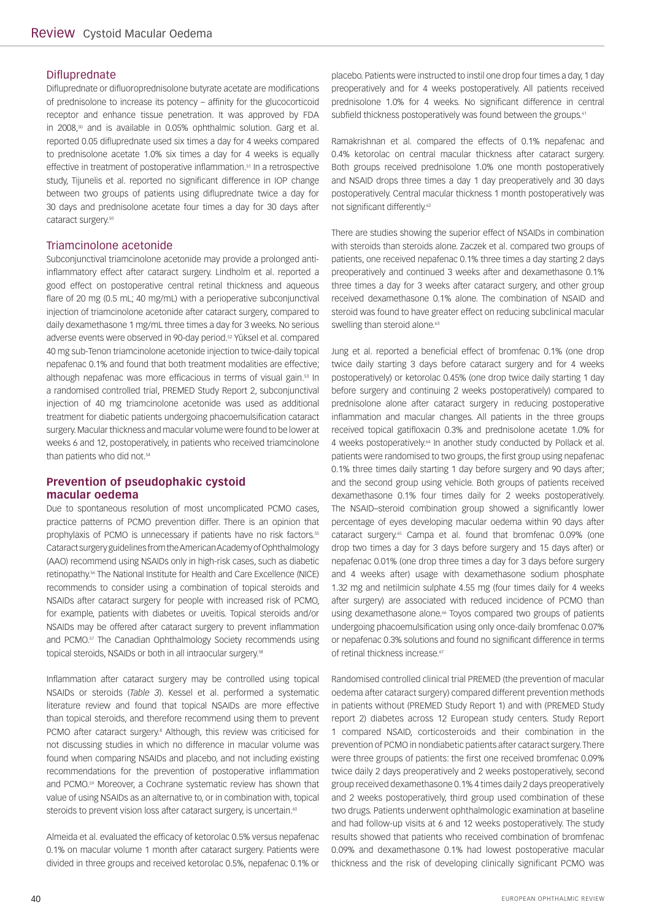## Difluprednate

Difluprednate or difluoroprednisolone butyrate acetate are modifications of prednisolone to increase its potency – affinity for the glucocorticoid receptor and enhance tissue penetration. It was approved by FDA in 2008,<sup>50</sup> and is available in 0.05% ophthalmic solution. Garg et al. reported 0.05 difluprednate used six times a day for 4 weeks compared to prednisolone acetate 1.0% six times a day for 4 weeks is equally effective in treatment of postoperative inflammation.<sup>51</sup> In a retrospective study, Tijunelis et al. reported no significant difference in IOP change between two groups of patients using difluprednate twice a day for 30 days and prednisolone acetate four times a day for 30 days after cataract surgery.<sup>50</sup>

## Triamcinolone acetonide

Subconjunctival triamcinolone acetonide may provide a prolonged antiinflammatory effect after cataract surgery. Lindholm et al. reported a good effect on postoperative central retinal thickness and aqueous flare of 20 mg (0.5 mL; 40 mg/mL) with a perioperative subconjunctival injection of triamcinolone acetonide after cataract surgery, compared to daily dexamethasone 1 mg/mL three times a day for 3 weeks. No serious adverse events were observed in 90-day period.<sup>52</sup> Yüksel et al. compared 40 mg sub-Tenon triamcinolone acetonide injection to twice-daily topical nepafenac 0.1% and found that both treatment modalities are effective; although nepafenac was more efficacious in terms of visual gain.<sup>53</sup> In a randomised controlled trial, PREMED Study Report 2, subconjunctival injection of 40 mg triamcinolone acetonide was used as additional treatment for diabetic patients undergoing phacoemulsification cataract surgery. Macular thickness and macular volume were found to be lower at weeks 6 and 12, postoperatively, in patients who received triamcinolone than patients who did not.<sup>54</sup>

## **Prevention of pseudophakic cystoid macular oedema**

Due to spontaneous resolution of most uncomplicated PCMO cases, practice patterns of PCMO prevention differ. There is an opinion that prophylaxis of PCMO is unnecessary if patients have no risk factors.55 Cataract surgery guidelines from the American Academy of Ophthalmology (AAO) recommend using NSAIDs only in high-risk cases, such as diabetic retinopathy.56 The National Institute for Health and Care Excellence (NICE) recommends to consider using a combination of topical steroids and NSAIDs after cataract surgery for people with increased risk of PCMO, for example, patients with diabetes or uveitis. Topical steroids and/or NSAIDs may be offered after cataract surgery to prevent inflammation and PCMO.<sup>57</sup> The Canadian Ophthalmology Society recommends using topical steroids, NSAIDs or both in all intraocular surgery.<sup>58</sup>

Inflammation after cataract surgery may be controlled using topical NSAIDs or steroids (*Table 3*). Kessel et al. performed a systematic literature review and found that topical NSAIDs are more effective than topical steroids, and therefore recommend using them to prevent PCMO after cataract surgery.<sup>8</sup> Although, this review was criticised for not discussing studies in which no difference in macular volume was found when comparing NSAIDs and placebo, and not including existing recommendations for the prevention of postoperative inflammation and PCMO.59 Moreover, a Cochrane systematic review has shown that value of using NSAIDs as an alternative to, or in combination with, topical steroids to prevent vision loss after cataract surgery, is uncertain.<sup>60</sup>

Almeida et al. evaluated the efficacy of ketorolac 0.5% versus nepafenac 0.1% on macular volume 1 month after cataract surgery. Patients were divided in three groups and received ketorolac 0.5%, nepafenac 0.1% or

placebo. Patients were instructed to instil one drop four times a day, 1 day preoperatively and for 4 weeks postoperatively. All patients received prednisolone 1.0% for 4 weeks. No significant difference in central subfield thickness postoperatively was found between the groups.<sup>61</sup>

Ramakrishnan et al. compared the effects of 0.1% nepafenac and 0.4% ketorolac on central macular thickness after cataract surgery. Both groups received prednisolone 1.0% one month postoperatively and NSAID drops three times a day 1 day preoperatively and 30 days postoperatively. Central macular thickness 1 month postoperatively was not significant differently.<sup>62</sup>

There are studies showing the superior effect of NSAIDs in combination with steroids than steroids alone. Zaczek et al. compared two groups of patients, one received nepafenac 0.1% three times a day starting 2 days preoperatively and continued 3 weeks after and dexamethasone 0.1% three times a day for 3 weeks after cataract surgery, and other group received dexamethasone 0.1% alone. The combination of NSAID and steroid was found to have greater effect on reducing subclinical macular swelling than steroid alone.<sup>63</sup>

Jung et al. reported a beneficial effect of bromfenac 0.1% (one drop twice daily starting 3 days before cataract surgery and for 4 weeks postoperatively) or ketorolac 0.45% (one drop twice daily starting 1 day before surgery and continuing 2 weeks postoperatively) compared to prednisolone alone after cataract surgery in reducing postoperative inflammation and macular changes. All patients in the three groups received topical gatifloxacin 0.3% and prednisolone acetate 1.0% for 4 weeks postoperatively.<sup>64</sup> In another study conducted by Pollack et al. patients were randomised to two groups, the first group using nepafenac 0.1% three times daily starting 1 day before surgery and 90 days after; and the second group using vehicle. Both groups of patients received dexamethasone 0.1% four times daily for 2 weeks postoperatively. The NSAID–steroid combination group showed a significantly lower percentage of eyes developing macular oedema within 90 days after cataract surgery.65 Campa et al. found that bromfenac 0.09% (one drop two times a day for 3 days before surgery and 15 days after) or nepafenac 0.01% (one drop three times a day for 3 days before surgery and 4 weeks after) usage with dexamethasone sodium phosphate 1.32 mg and netilmicin sulphate 4.55 mg (four times daily for 4 weeks after surgery) are associated with reduced incidence of PCMO than using dexamethasone alone.<sup>66</sup> Toyos compared two groups of patients undergoing phacoemulsification using only once-daily bromfenac 0.07% or nepafenac 0.3% solutions and found no significant difference in terms of retinal thickness increase.<sup>67</sup>

Randomised controlled clinical trial PREMED (the prevention of macular oedema after cataract surgery) compared different prevention methods in patients without (PREMED Study Report 1) and with (PREMED Study report 2) diabetes across 12 European study centers. Study Report 1 compared NSAID, corticosteroids and their combination in the prevention of PCMO in nondiabetic patients after cataract surgery. There were three groups of patients: the first one received bromfenac 0.09% twice daily 2 days preoperatively and 2 weeks postoperatively, second group received dexamethasone 0.1% 4 times daily 2 days preoperatively and 2 weeks postoperatively, third group used combination of these two drugs. Patients underwent ophthalmologic examination at baseline and had follow-up visits at 6 and 12 weeks postoperatively. The study results showed that patients who received combination of bromfenac 0.09% and dexamethasone 0.1% had lowest postoperative macular thickness and the risk of developing clinically significant PCMO was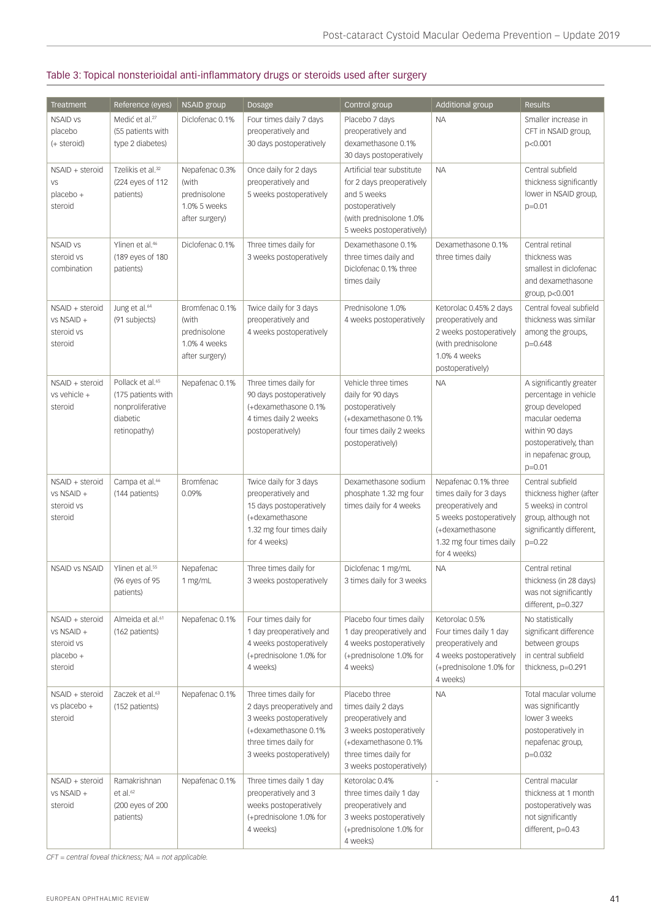# Table 3: Topical nonsterioidal anti-inflammatory drugs or steroids used after surgery

| <b>Treatment</b>                                                    | Reference (eyes)                                                                                   | <b>NSAID group</b>                                                        | <b>Dosage</b>                                                                                                                                              | Control group                                                                                                                                                      | Additional group                                                                                                                                               | <b>Results</b>                                                                                                                                                      |
|---------------------------------------------------------------------|----------------------------------------------------------------------------------------------------|---------------------------------------------------------------------------|------------------------------------------------------------------------------------------------------------------------------------------------------------|--------------------------------------------------------------------------------------------------------------------------------------------------------------------|----------------------------------------------------------------------------------------------------------------------------------------------------------------|---------------------------------------------------------------------------------------------------------------------------------------------------------------------|
| <b>NSAID vs</b><br>placebo<br>(+ steroid)                           | Medić et al. <sup>27</sup><br>(55 patients with<br>type 2 diabetes)                                | Diclofenac 0.1%                                                           | Four times daily 7 days<br>preoperatively and<br>30 days postoperatively                                                                                   | Placebo 7 days<br>preoperatively and<br>dexamethasone 0.1%<br>30 days postoperatively                                                                              | <b>NA</b>                                                                                                                                                      | Smaller increase in<br>CFT in NSAID group,<br>p<0.001                                                                                                               |
| NSAID + steroid<br>VS<br>placebo +<br>steroid                       | Tzelikis et al. <sup>32</sup><br>(224 eyes of 112<br>patients)                                     | Nepafenac 0.3%<br>(with<br>prednisolone<br>1.0% 5 weeks<br>after surgery) | Once daily for 2 days<br>preoperatively and<br>5 weeks postoperatively                                                                                     | Artificial tear substitute<br>for 2 days preoperatively<br>and 5 weeks<br>postoperatively<br>(with prednisolone 1.0%)<br>5 weeks postoperatively)                  | <b>NA</b>                                                                                                                                                      | Central subfield<br>thickness significantly<br>lower in NSAID group,<br>$p=0.01$                                                                                    |
| <b>NSAID vs</b><br>steroid vs<br>combination                        | Ylinen et al. <sup>46</sup><br>(189 eyes of 180<br>patients)                                       | Diclofenac 0.1%                                                           | Three times daily for<br>3 weeks postoperatively                                                                                                           | Dexamethasone 0.1%<br>three times daily and<br>Diclofenac 0.1% three<br>times daily                                                                                | Dexamethasone 0.1%<br>three times daily                                                                                                                        | Central retinal<br>thickness was<br>smallest in diclofenac<br>and dexamethasone<br>group, p<0.001                                                                   |
| NSAID + steroid<br>vs NSAID +<br>steroid vs<br>steroid              | Jung et al. <sup>64</sup><br>(91 subjects)                                                         | Bromfenac 0.1%<br>(with<br>prednisolone<br>1.0% 4 weeks<br>after surgery) | Twice daily for 3 days<br>preoperatively and<br>4 weeks postoperatively                                                                                    | Prednisolone 1.0%<br>4 weeks postoperatively                                                                                                                       | Ketorolac 0.45% 2 days<br>preoperatively and<br>2 weeks postoperatively<br>(with prednisolone<br>1.0% 4 weeks<br>postoperatively)                              | Central foveal subfield<br>thickness was similar<br>among the groups,<br>$p=0.648$                                                                                  |
| NSAID + steroid<br>vs vehicle +<br>steroid                          | Pollack et al. <sup>65</sup><br>(175 patients with<br>nonproliferative<br>diabetic<br>retinopathy) | Nepafenac 0.1%                                                            | Three times daily for<br>90 days postoperatively<br>(+dexamethasone 0.1%<br>4 times daily 2 weeks<br>postoperatively)                                      | Vehicle three times<br>daily for 90 days<br>postoperatively<br>(+dexamethasone 0.1%)<br>four times daily 2 weeks<br>postoperatively)                               | <b>NA</b>                                                                                                                                                      | A significantly greater<br>percentage in vehicle<br>group developed<br>macular oedema<br>within 90 days<br>postoperatively, than<br>in nepafenac group,<br>$p=0.01$ |
| NSAID + steroid<br>vs NSAID +<br>steroid vs<br>steroid              | Campa et al. <sup>66</sup><br>(144 patients)                                                       | <b>Bromfenac</b><br>0.09%                                                 | Twice daily for 3 days<br>preoperatively and<br>15 days postoperatively<br>(+dexamethasone<br>1.32 mg four times daily<br>for 4 weeks)                     | Dexamethasone sodium<br>phosphate 1.32 mg four<br>times daily for 4 weeks                                                                                          | Nepafenac 0.1% three<br>times daily for 3 days<br>preoperatively and<br>5 weeks postoperatively<br>(+dexamethasone<br>1.32 mg four times daily<br>for 4 weeks) | Central subfield<br>thickness higher (after<br>5 weeks) in control<br>group, although not<br>significantly different,<br>$p=0.22$                                   |
| <b>NSAID VS NSAID</b>                                               | Ylinen et al. <sup>55</sup><br>(96 eyes of 95<br>patients)                                         | Nepafenac<br>1 mg/mL                                                      | Three times daily for<br>3 weeks postoperatively                                                                                                           | Diclofenac 1 mg/mL<br>3 times daily for 3 weeks                                                                                                                    | <b>NA</b>                                                                                                                                                      | Central retinal<br>thickness (in 28 days)<br>was not significantly<br>different, p=0.327                                                                            |
| NSAID + steroid<br>vs NSAID +<br>steroid vs<br>placebo +<br>steroid | Almeida et al. <sup>61</sup><br>(162 patients)                                                     | Nepafenac 0.1%                                                            | Four times daily for<br>1 day preoperatively and<br>4 weeks postoperatively<br>(+prednisolone 1.0% for<br>4 weeks)                                         | Placebo four times daily<br>1 day preoperatively and<br>4 weeks postoperatively<br>(+prednisolone 1.0% for<br>4 weeks)                                             | Ketorolac 0.5%<br>Four times daily 1 day<br>preoperatively and<br>4 weeks postoperatively<br>(+prednisolone 1.0% for<br>4 weeks)                               | No statistically<br>significant difference<br>between groups<br>in central subfield<br>thickness, p=0.291                                                           |
| NSAID + steroid<br>vs placebo +<br>steroid                          | Zaczek et al. <sup>63</sup><br>(152 patients)                                                      | Nepafenac 0.1%                                                            | Three times daily for<br>2 days preoperatively and<br>3 weeks postoperatively<br>(+dexamethasone 0.1%<br>three times daily for<br>3 weeks postoperatively) | Placebo three<br>times daily 2 days<br>preoperatively and<br>3 weeks postoperatively<br>(+dexamethasone 0.1%)<br>three times daily for<br>3 weeks postoperatively) | <b>NA</b>                                                                                                                                                      | Total macular volume<br>was significantly<br>lower 3 weeks<br>postoperatively in<br>nepafenac group,<br>$p=0.032$                                                   |
| NSAID + steroid<br>vs NSAID +<br>steroid                            | Ramakrishnan<br>et al. <sup>62</sup><br>(200 eyes of 200<br>patients)                              | Nepafenac 0.1%                                                            | Three times daily 1 day<br>preoperatively and 3<br>weeks postoperatively<br>(+prednisolone 1.0% for<br>4 weeks)                                            | Ketorolac 0.4%<br>three times daily 1 day<br>preoperatively and<br>3 weeks postoperatively<br>(+prednisolone 1.0% for<br>4 weeks)                                  | ÷,                                                                                                                                                             | Central macular<br>thickness at 1 month<br>postoperatively was<br>not significantly<br>different, p=0.43                                                            |

*CFT = central foveal thickness; NA = not applicable.*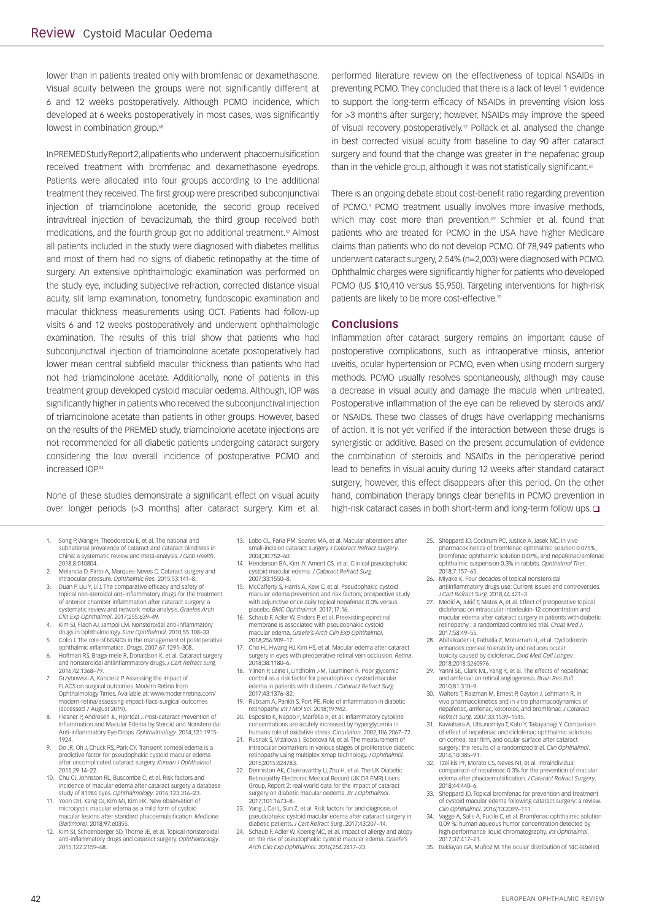lower than in patients treated only with bromfenac or dexamethasone. Visual acuity between the groups were not significantly different at 6 and 12 weeks postoperatively. Although PCMO incidence, which developed at 6 weeks postoperatively in most cases, was significantly lowest in combination group.<sup>68</sup>

In PREMED Study Report 2, all patients who underwent phacoemulsification received treatment with bromfenac and dexamethasone eyedrops. Patients were allocated into four groups according to the additional treatment they received. The first group were prescribed subconjunctival injection of triamcinolone acetonide, the second group received intravitreal injection of bevacizumab, the third group received both medications, and the fourth group got no additional treatment.<sup>57</sup> Almost all patients included in the study were diagnosed with diabetes mellitus and most of them had no signs of diabetic retinopathy at the time of surgery. An extensive ophthalmologic examination was performed on the study eye, including subjective refraction, corrected distance visual acuity, slit lamp examination, tonometry, fundoscopic examination and macular thickness measurements using OCT. Patients had follow-up visits 6 and 12 weeks postoperatively and underwent ophthalmologic examination. The results of this trial show that patients who had subconjunctival injection of triamcinolone acetate postoperatively had lower mean central subfield macular thickness than patients who had not had triamcinolone acetate. Additionally, none of patients in this treatment group developed cystoid macular oedema. Although, IOP was significantly higher in patients who received the subconjunctival injection of triamcinolone acetate than patients in other groups. However, based on the results of the PREMED study, triamcinolone acetate injections are not recommended for all diabetic patients undergoing cataract surgery considering the low overall incidence of postoperative PCMO and increased IOP.54

None of these studies demonstrate a significant effect on visual acuity over longer periods (>3 months) after cataract surgery. Kim et al.

- 1. Song P, Wang H, Theodoratou E, et al. The national and subnational prevalence of cataract and cataract blindness in China: a systematic review and meta-analysis. *J Glob Health*. 2018;8:010804.
- 2. Melancia D, Pinto A, Marques-Neves C. Cataract surgery and
- intraocular pressure. *Ophthalmic Res.* 2015;53:141–8. 3. Duan P, Liu Y, Li J. The comparative efficacy and safety of topical non-steroidal anti-inflammatory drugs for the treatment of anterior chamber inflammation after cataract surgery: a systematic review and network meta-analysis. *Graefes Arch Clin Exp Ophthalmol*. 2017;255:639–49.
- 4. Kim SJ, Flach AJ, Jampol LM. Nonsteroidal anti-inflammatory drugs in ophthalmology. *Surv Ophthalmol*. 2010;55:108–33.
- 5. Colin J. The role of NSAIDs in the management of postoperative ophthalmic inflammation. *Drugs*. 2007;67:1291–308.
- 6. Hoffman RS, Braga-mele R, Donaldson K, et al. Cataract surgery and nonsteroidal antiinflammatory drugs. *J Cart Refract Surg*. 2016;42:1368–79.
- 7. Grzybowski A, Kanclerz P. Assessing the impact of FLACS on surgical outcomes. Modern Retina from Ophthalmology Times. Available at: www.modernretina.com/ modern-retina/assessing-impact-flacs-surgical-outcomes (accessed 7 August 2019).
- 8. Flesner P, Andresen JL, Hjortdal J. Post-cataract Prevention of Inflammation and Macular Edema by Steroid and Nonsteroidal Anti-inflammatory Eye Drops. *Ophthalmology*. 2014;121:1915- 1924.
- 9. Do JR, Oh J, Chuck RS, Park CY. Transient corneal edema is a predictive factor for pseudophakic cystoid macular edema after uncomplicated cataract surgery. *Korean J Ophthalmol*. 2015;29:14–22.
- 10. Chu CJ, Johnston RL, Buscombe C, et al. Risk factors and incidence of macular edema after cataract surgery a datab study of 81984 Eyes. *Ophthalmology*. 2016;123:316–23.
- 11. Yoon DH, Kang DJ, Kim MJ, Kim HK. New observation of microcystic macular edema as a mild form of cystoid macular lesions after standard phacoemulsification. *Medicine (Baltimore)*. 2018;97:e0355.
- 12. Kim SJ, Schoenberger SD, Thorne JE, et al. Topical nonsteroidal anti-inflammatory drugs and cataract surgery. *Ophthalmology*. 2015;122:2159–68.
- 13. Lobo CL, Faria PM, Soares MA, et al. Macular alterations after small-incision cataract surgery. *J Cataract Refract Surgery*. 2004;30:752–60.
- 14. Henderson BA, Kim JY, Ament CS, et al. Clinical pseudophakic cystoid macular edema. *J Cataract Refract Surg*. 2007;33:1550–8.
- 15. McCafferty S, Harris A, Kew C, et al. Pseudophakic cystoid macular edema prevention and risk factors; prospective study with adjunctive once daily topical nepafenac 0.3% versus placebo. *BMC Ophthalmol*. 2017;17:16.
- placebo. BMC ophalamor. 2017, 17:16.<br>Schaub F, Adler W, Enders P, et al. Preexisting epiretinal membrane is associated with pseudophakic cystoid macular edema. *Graefe's Arch Clin Exp Ophthalmol*. 2018;256:909–17.
- 17. Cho HJ, Hwang HJ, Kim HS, et al. Macular edema after cataract surgery in eyes with preoperative retinal vein occlusion. *Retina*. 2018;38:1180–6.
- 18. Ylinen P, Laine I, Lindholm J-M, Tuuminen R. Poor glycemic control as a risk factor for pseudophakic cystoid macular edema in patients with diabetes. *J Cataract Refract Surg*. 2017;43:1376–82.
- 19. Rübsam A, Parikh S, Fort PE. Role of inflammation in diabetic retinopathy. *Int J Mol Sci*. 2018;19:942.
- 20. Esposito K, Nappo F, Marfella R, et al. Inflammatory cytokine concentrations are acutely increased by hyperglycemia in humans role of oxidative stress. *Circulation*. 2002;106:2067–72. 21. Rusnak S, Vrzalova J, Sobotova M, et al. The measurement of
- intraocular biomarkers in various stages of proliferative diabetic retinopathy using multiplex Xmap technology. *J Ophthalmol.* 2015;2015:424783.
- 22. Denniston AK, Chakravarthy U, Zhu H, et al. The UK Diabetic Retinopathy Electronic Medical Record (UK DR EMR) Users Group, Report 2: real-world data for the impact of cataract surgery on diabetic macular oedema. *Br J Ophthalmol*. 2017;101:1673–8.
- 23. Yang J, Cai L, Sun Z, et al. Risk factors for and diagnosis of pseudophakic cystoid macular edema after cataract surgery in
- diabetic patients. *J Cart Refract Surg*. 2017;43:207–14. 24. Schaub F, Adler W, Koenig MC, et al. Impact of allergy and atopy on the risk of pseudophakic cystoid macular edema. *Graefe's Arch Clin Exp Ophthalmol*. 2016;254:2417–23.

performed literature review on the effectiveness of topical NSAIDs in preventing PCMO. They concluded that there is a lack of level 1 evidence to support the long-term efficacy of NSAIDs in preventing vision loss for >3 months after surgery; however, NSAIDs may improve the speed of visual recovery postoperatively.12 Pollack et al. analysed the change in best corrected visual acuity from baseline to day 90 after cataract surgery and found that the change was greater in the nepafenac group than in the vehicle group, although it was not statistically significant.<sup>65</sup>

There is an ongoing debate about cost-benefit ratio regarding prevention of PCMO.4 PCMO treatment usually involves more invasive methods, which may cost more than prevention.<sup>69</sup> Schmier et al. found that patients who are treated for PCMO in the USA have higher Medicare claims than patients who do not develop PCMO. Of 78,949 patients who underwent cataract surgery, 2.54% (n=2,003) were diagnosed with PCMO. Ophthalmic charges were significantly higher for patients who developed PCMO (US \$10,410 versus \$5,950). Targeting interventions for high-risk patients are likely to be more cost-effective.<sup>70</sup>

# **Conclusions**

Inflammation after cataract surgery remains an important cause of postoperative complications, such as intraoperative miosis, anterior uveitis, ocular hypertension or PCMO, even when using modern surgery methods. PCMO usually resolves spontaneously, although may cause a decrease in visual acuity and damage the macula when untreated. Postoperative inflammation of the eye can be relieved by steroids and/ or NSAIDs. These two classes of drugs have overlapping mechanisms of action. It is not yet verified if the interaction between these drugs is synergistic or additive. Based on the present accumulation of evidence the combination of steroids and NSAIDs in the perioperative period lead to benefits in visual acuity during 12 weeks after standard cataract surgery; however, this effect disappears after this period. On the other hand, combination therapy brings clear benefits in PCMO prevention in high-risk cataract cases in both short-term and long-term follow ups.  $\square$ 

- 25. Sheppard JD, Cockrum PC, Justice A, Jasek MC. In vivo pharmacokinetics of bromfenac ophthalmic solution 0.075%, bromfenac ophthalmic solution 0.07%, and nepafenac/amfenac ophthalmic suspension 0.3% in rabbits. *Ophthalmol Ther*. 2018;7:157–65.
- 26. Miyake K. Four decades of topical nonsteroidal antiinflammatory drugs use: Current issues and controversies.
- *J Cart Refract Surg*. 2018;44:421–3. 27. Medic´ A, Jukic´ T, Matas A, et al. Effect of preoperative topical diclofenac on intraocular interleukin-12 concentration and macular edema after cataract surgery in patients with diabetic retinopathy : a randomized controlled trial. *Croat Med J*. 2017;58:49–55.
- 28. Abdelkader H, Fathalla Z, Moharram H, et al. Cyclodextrin enhances corneal tolerability and reduces ocular toxicity caused by diclofenac. *Oxid Med Cell Longev*. 2018;2018:5260976.
- 29. Yanni SE, Clark ML, Yang R, et al. The effects of nepafenac and amfenac on retinal angiogenesis. *Brain Res Bull*. 2010;81:310–9.
- 30. Walters T, Raizman M, Ernest P, Gayton J, Lehmann R. In vivo pharmacokinetics and in vitro pharmacodynamics of nepafenac, amfenac, ketorolac, and bromfenac. *J Cataract*
- *Refract Surg*. 2007;33:1539–1545. 31. Kawahara A, Utsunomiya T, Kato Y, Takayanagi Y. Comparison of effect of nepafenac and diclofenac ophthalmic solutions on cornea, tear film, and ocular surface after cataract surgery: the results of a randomized trial. *Clin Ophthalmol*. 2016;10:385–91.
- 32. Tzelikis PF, Morato CS, Neves NT, et al. Intraindividual comparison of nepafenac 0.3% for the prevention of macular edema after phacoemulsification. *J Cataract Refract Surgery*. 2018;44:440–6.
- 33. Sheppard JD. Topical bromfenac for prevention and treatment of cystoid macular edema following cataract surgery: a review. *Clin Ophthalmol*. 2016;10:2099–111.
- 34. Vagge A, Salis A, Fucile C, et al. Bromfenac ophthalmic solution 0.09 %: human aqueous humor concentration detected by high-performance liquid chromatography*. Int Ophthalmol*. 2017;37:417–21.
- Baklayan GA, Muñoz M. The ocular distribution of 14C-labeled